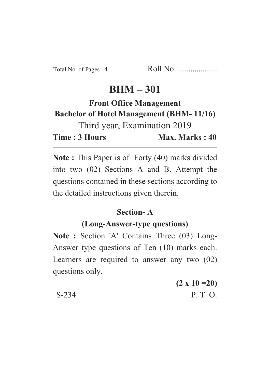# $BHM - 301$

### **Front Office Management Bachelor of Hotel Management (BHM-11/16) Bachelor of Hotel Management (BHM- 11/16)**

Third year, Examination 2019 Time: 3 Hours Max. Marks: 40 **Time : 3 Hours Max. Marks : 40**

**Note :** This Paper is of Forty (40) marks divided into two (02) Sections A and B. Attempt the questions contained in these sections according to the detailed instructions given therein.

# **Section-A**<br>(Long-Answer-type questions)

**(Long-Answer-type questions) Note : Section 'A' Contains Three (03) Long-**Answer type questions of Ten (10) marks each. Learners are required to answer any two (02) questions only.

**(2 x 10 =20)** S-234 P. T. O.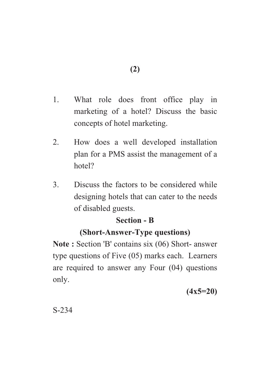- 1. What role does front office play in marketing of a hotel? Discuss the basic concepts of hotel marketing.
- 2. How does a well developed installation plan for a PMS assist the management of a hotel?
- 3. Discuss the factors to be considered while designing hotels that can cater to the needs of disabled guests.

## **Section - B**

## **(Short-Answer-Type questions)**

**(Short-Answer-Type questions) Note : Section 'B' contains six (06) Short- answer** type questions of Five (05) marks each. Learners are required to answer any Four (04) questions only.

**(4x5=20)**

S-234